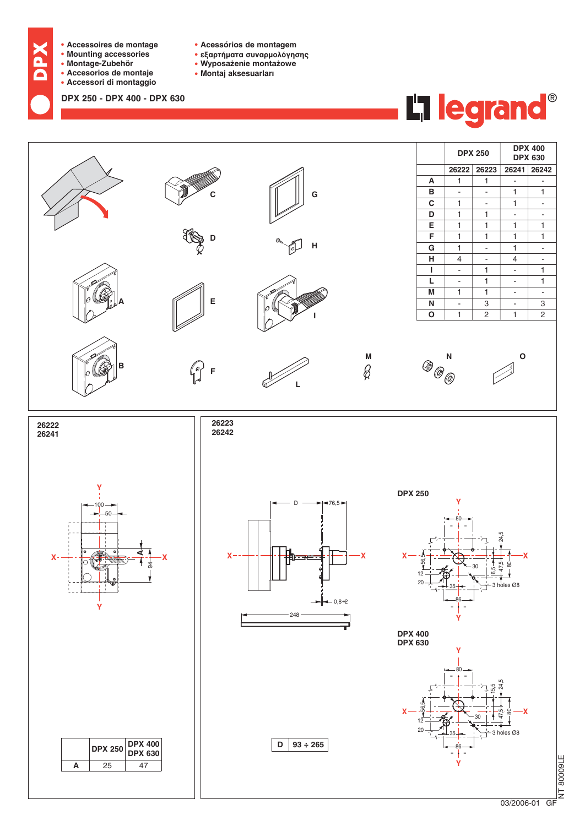

NT 80009LE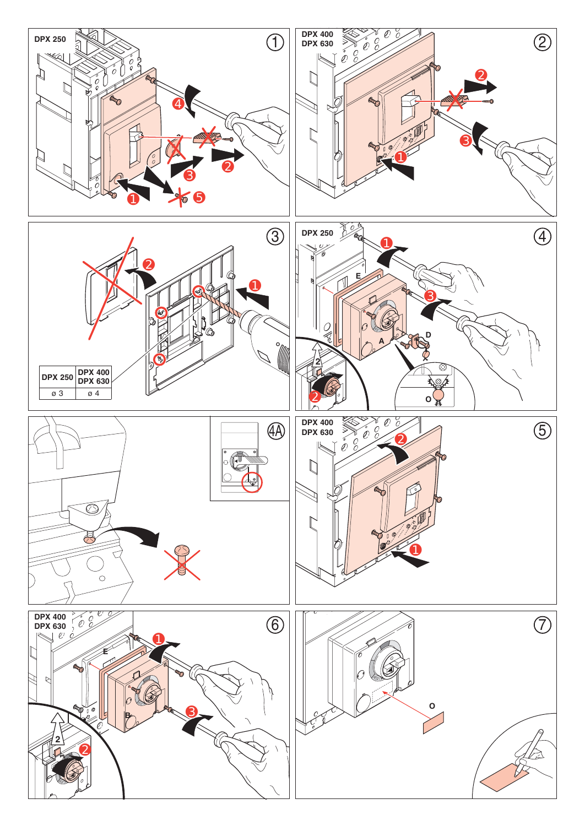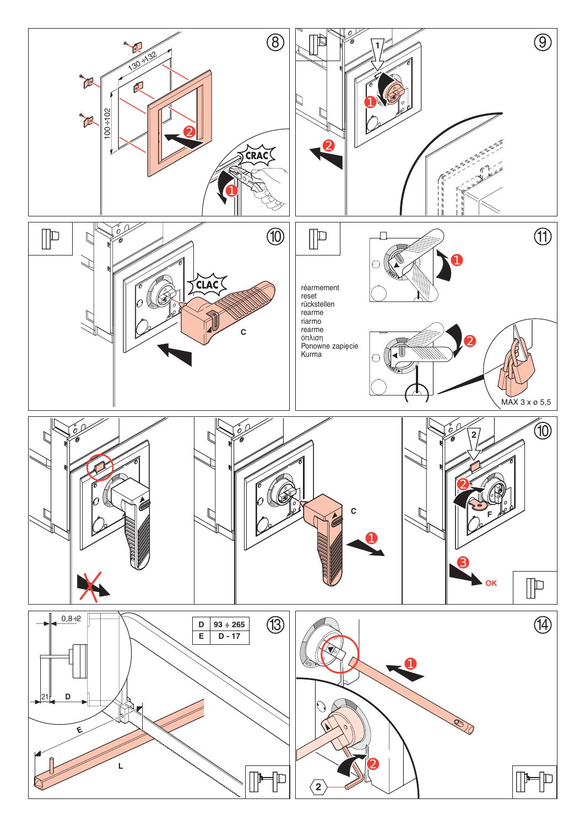